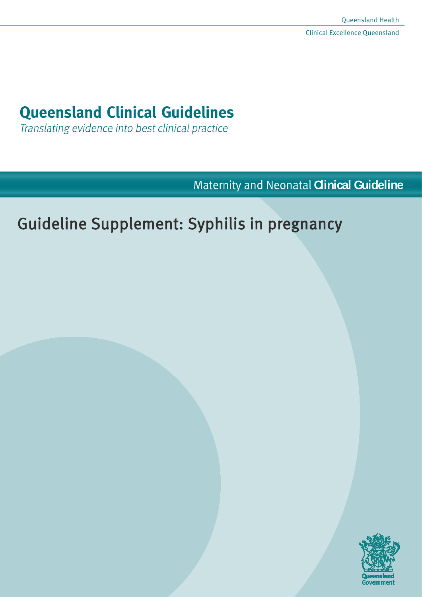# **Queensland Clinical Guidelines**

Translating evidence into best clinical practice

Maternity and Neonatal **Clinical Guideline**

# Guideline Supplement: Syphilis in pregnancy

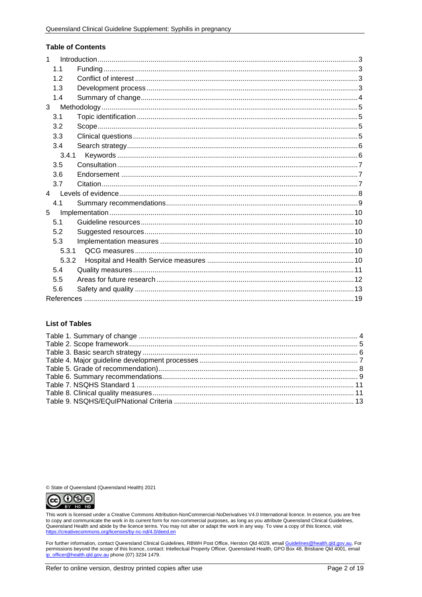#### **Table of Contents**

| $\mathbf{1}$   |  |
|----------------|--|
| 1.1            |  |
| 12             |  |
| 1.3            |  |
| 1.4            |  |
| 3              |  |
| 3.1            |  |
| 3.2            |  |
| 3.3            |  |
| 3.4            |  |
| 3.4.1          |  |
| 3.5            |  |
| 3.6            |  |
| 3.7            |  |
| $\overline{4}$ |  |
| 4.1            |  |
| 5              |  |
| 5.1            |  |
| 5.2            |  |
| 5.3            |  |
| 5.3.1          |  |
| 5.3.2          |  |
| 5.4            |  |
| 5.5            |  |
| 5.6            |  |
|                |  |

#### **List of Tables**

© State of Queensland (Queensland Health) 2021



This work is licensed under a Creative Commons Attribution-NonCommercial-NoDerivatives V4.0 International licence. In essence, you are free<br>to copy and communicate the work in its current form for non-commercial purposes, https://creativecommons.org/licenses/by-nc-nd/4.0/deed.en

For further information, contact Queensland Clinical Guidelines, RBWH Post Office, Herston Qld 4029, email Guidelines@health.gld.gov.au, For permissions beyond the scope of this licence, contact: Intellectual Property Officer, Queensland Health, GPO Box 48, Brisbane Qld 4001, email ip officer@health.qld.gov.au phone (07) 3234 1479.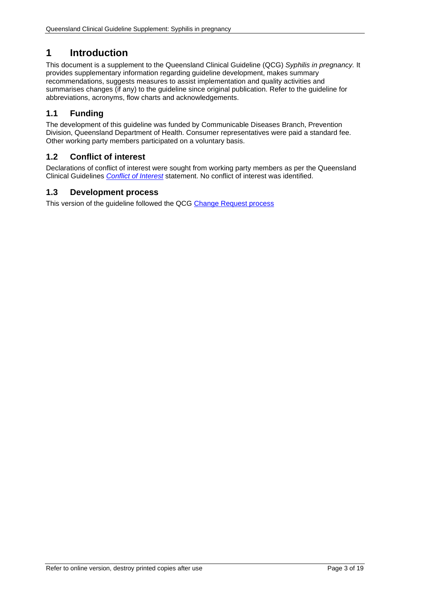# <span id="page-2-0"></span>**1 Introduction**

This document is a supplement to the Queensland Clinical Guideline (QCG) *Syphilis in pregnancy.* It provides supplementary information regarding guideline development, makes summary recommendations, suggests measures to assist implementation and quality activities and summarises changes (if any) to the guideline since original publication. Refer to the guideline for abbreviations, acronyms, flow charts and acknowledgements.

# <span id="page-2-1"></span>**1.1 Funding**

The development of this guideline was funded by Communicable Diseases Branch, Prevention Division, Queensland Department of Health. Consumer representatives were paid a standard fee. Other working party members participated on a voluntary basis.

# <span id="page-2-2"></span>**1.2 Conflict of interest**

Declarations of conflict of interest were sought from working party members as per the Queensland Clinical Guidelines *[Conflict of Interest](http://www.health.qld.gov.au/qcg/development#coi)* statement. No conflict of interest was identified.

## <span id="page-2-3"></span>**1.3 Development process**

This version of the guideline followed the QCG [Change Request process](https://www.health.qld.gov.au/__data/assets/pdf_file/0025/364723/o-developprocess.pdf)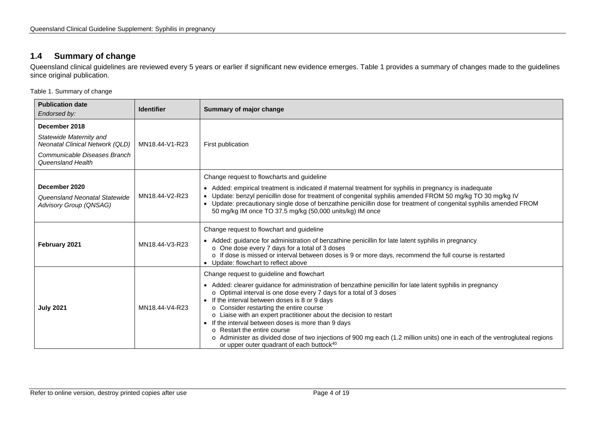# **1.4 Summary of change**

Queensland clinical guidelines are reviewed every 5 years or earlier if significant new evidence emerges. [Table 1](#page-3-2) provides a summary of changes made to the guidelines since original publication.

<span id="page-3-2"></span>Table 1. Summary of change

<span id="page-3-1"></span><span id="page-3-0"></span>

| <b>Publication date</b><br>Endorsed by:                                                                                                                                | <b>Identifier</b> | Summary of major change                                                                                                                                                                                                                                                                                                                                                                                                                                                                                                                                                                                                                                                        |  |  |
|------------------------------------------------------------------------------------------------------------------------------------------------------------------------|-------------------|--------------------------------------------------------------------------------------------------------------------------------------------------------------------------------------------------------------------------------------------------------------------------------------------------------------------------------------------------------------------------------------------------------------------------------------------------------------------------------------------------------------------------------------------------------------------------------------------------------------------------------------------------------------------------------|--|--|
| December 2018<br>Statewide Maternity and<br><b>Neonatal Clinical Network (QLD)</b><br>Communicable Diseases Branch<br>Queensland Health                                | MN18.44-V1-R23    | First publication                                                                                                                                                                                                                                                                                                                                                                                                                                                                                                                                                                                                                                                              |  |  |
| December 2020<br>Queensland Neonatal Statewide<br>Advisory Group (QNSAG)                                                                                               | MN18.44-V2-R23    | Change request to flowcharts and guideline<br>• Added: empirical treatment is indicated if maternal treatment for syphilis in pregnancy is inadequate<br>• Update: benzyl penicillin dose for treatment of congenital syphilis amended FROM 50 mg/kg TO 30 mg/kg IV<br>• Update: precautionary single dose of benzathine penicillin dose for treatment of congenital syphilis amended FROM<br>50 mg/kg IM once TO 37.5 mg/kg (50,000 units/kg) IM once                                                                                                                                                                                                                         |  |  |
| Change request to flowchart and guideline<br>February 2021<br>MN18.44-V3-R23<br>o One dose every 7 days for a total of 3 doses<br>• Update: flowchart to reflect above |                   | • Added: guidance for administration of benzathine penicillin for late latent syphilis in pregnancy<br>o If dose is missed or interval between doses is 9 or more days, recommend the full course is restarted                                                                                                                                                                                                                                                                                                                                                                                                                                                                 |  |  |
| <b>July 2021</b>                                                                                                                                                       | MN18.44-V4-R23    | Change request to guideline and flowchart<br>• Added: clearer guidance for administration of benzathine penicillin for late latent syphilis in pregnancy<br>o Optimal interval is one dose every 7 days for a total of 3 doses<br>• If the interval between doses is 8 or 9 days<br>o Consider restarting the entire course<br>o Liaise with an expert practitioner about the decision to restart<br>• If the interval between doses is more than 9 days<br>○ Restart the entire course<br>o Administer as divided dose of two injections of 900 mg each (1.2 million units) one in each of the ventrogluteal regions<br>or upper outer quadrant of each buttock <sup>40</sup> |  |  |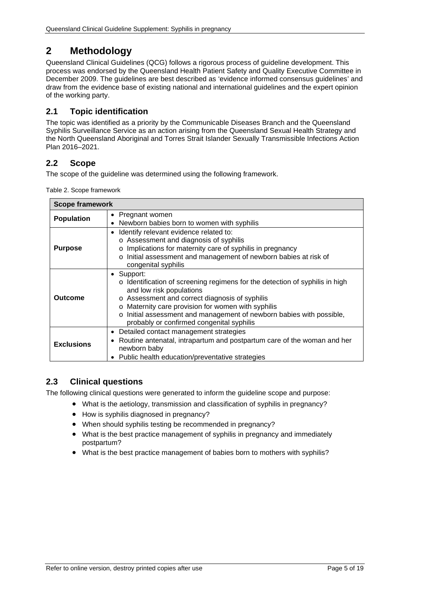# <span id="page-4-0"></span>**2 Methodology**

Queensland Clinical Guidelines (QCG) follows a rigorous process of guideline development. This process was endorsed by the Queensland Health Patient Safety and Quality Executive Committee in December 2009. The guidelines are best described as 'evidence informed consensus guidelines' and draw from the evidence base of existing national and international guidelines and the expert opinion of the working party.

# <span id="page-4-1"></span>**2.1 Topic identification**

The topic was identified as a priority by the Communicable Diseases Branch and the Queensland Syphilis Surveillance Service as an action arising from the Queensland Sexual Health Strategy and the North Queensland Aboriginal and Torres Strait Islander Sexually Transmissible Infections Action Plan 2016–2021.

## <span id="page-4-2"></span>**2.2 Scope**

<span id="page-4-4"></span>The scope of the guideline was determined using the following framework.

| Table 2. Scope framework |  |
|--------------------------|--|
|--------------------------|--|

| <b>Scope framework</b> |                                                                                                                                                                                                                                                                                                                                                              |  |  |  |
|------------------------|--------------------------------------------------------------------------------------------------------------------------------------------------------------------------------------------------------------------------------------------------------------------------------------------------------------------------------------------------------------|--|--|--|
| <b>Population</b>      | • Pregnant women<br>• Newborn babies born to women with syphilis                                                                                                                                                                                                                                                                                             |  |  |  |
| <b>Purpose</b>         | Identify relevant evidence related to:<br>o Assessment and diagnosis of syphilis<br>Implications for maternity care of syphilis in pregnancy<br>$\circ$<br>Initial assessment and management of newborn babies at risk of<br>$\circ$<br>congenital syphilis                                                                                                  |  |  |  |
| Outcome                | • Support:<br>o Identification of screening regimens for the detection of syphilis in high<br>and low risk populations<br>o Assessment and correct diagnosis of syphilis<br>o Maternity care provision for women with syphilis<br>Initial assessment and management of newborn babies with possible,<br>$\circ$<br>probably or confirmed congenital syphilis |  |  |  |
| <b>Exclusions</b>      | Detailed contact management strategies<br>Routine antenatal, intrapartum and postpartum care of the woman and her<br>newborn baby<br>Public health education/preventative strategies                                                                                                                                                                         |  |  |  |

## <span id="page-4-3"></span>**2.3 Clinical questions**

The following clinical questions were generated to inform the guideline scope and purpose:

- What is the aetiology, transmission and classification of syphilis in pregnancy?
- How is syphilis diagnosed in pregnancy?
- When should syphilis testing be recommended in pregnancy?
- What is the best practice management of syphilis in pregnancy and immediately postpartum?
- What is the best practice management of babies born to mothers with syphilis?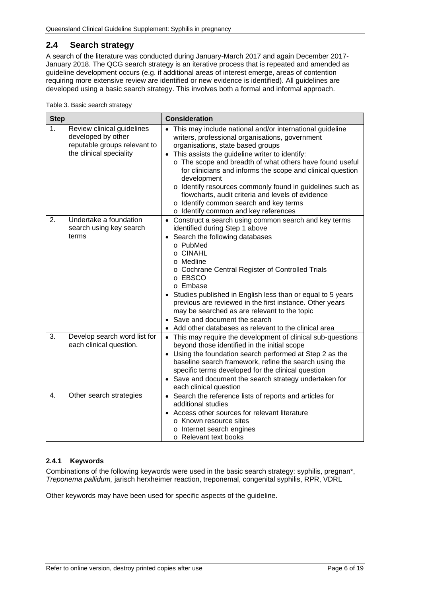## <span id="page-5-0"></span>**2.4 Search strategy**

A search of the literature was conducted during January-March 2017 and again December 2017- January 2018. The QCG search strategy is an iterative process that is repeated and amended as guideline development occurs (e.g. if additional areas of interest emerge, areas of contention requiring more extensive review are identified or new evidence is identified). All guidelines are developed using a basic search strategy. This involves both a formal and informal approach.

<span id="page-5-2"></span>

| <b>Step</b>    |                                                                                                             | <b>Consideration</b>                                                                                                                                                                                                                                                                                                                                                                                                                                                                                                                                |  |  |
|----------------|-------------------------------------------------------------------------------------------------------------|-----------------------------------------------------------------------------------------------------------------------------------------------------------------------------------------------------------------------------------------------------------------------------------------------------------------------------------------------------------------------------------------------------------------------------------------------------------------------------------------------------------------------------------------------------|--|--|
| 1 <sub>1</sub> | Review clinical guidelines<br>developed by other<br>reputable groups relevant to<br>the clinical speciality | • This may include national and/or international guideline<br>writers, professional organisations, government<br>organisations, state based groups<br>• This assists the guideline writer to identify:<br>o The scope and breadth of what others have found useful<br>for clinicians and informs the scope and clinical question<br>development<br>o Identify resources commonly found in guidelines such as<br>flowcharts, audit criteria and levels of evidence<br>o Identify common search and key terms<br>o Identify common and key references |  |  |
| 2.             | Undertake a foundation<br>search using key search<br>terms                                                  | • Construct a search using common search and key terms<br>identified during Step 1 above<br>Search the following databases<br>$\bullet$<br>o PubMed<br>o CINAHL<br>o Medline<br>o Cochrane Central Register of Controlled Trials<br>o EBSCO<br>o Embase<br>Studies published in English less than or equal to 5 years<br>previous are reviewed in the first instance. Other years<br>may be searched as are relevant to the topic<br>• Save and document the search<br>Add other databases as relevant to the clinical area                         |  |  |
| 3.             | Develop search word list for<br>each clinical question.                                                     | • This may require the development of clinical sub-questions<br>beyond those identified in the initial scope<br>• Using the foundation search performed at Step 2 as the<br>baseline search framework, refine the search using the<br>specific terms developed for the clinical question<br>• Save and document the search strategy undertaken for<br>each clinical question                                                                                                                                                                        |  |  |
| 4.             | Other search strategies                                                                                     | • Search the reference lists of reports and articles for<br>additional studies<br>Access other sources for relevant literature<br>o Known resource sites<br>o Internet search engines<br>o Relevant text books                                                                                                                                                                                                                                                                                                                                      |  |  |

#### <span id="page-5-1"></span>**2.4.1 Keywords**

Combinations of the following keywords were used in the basic search strategy: syphilis, pregnan\*, *Treponema pallidum,* jarisch herxheimer reaction, treponemal, congenital syphilis, RPR, VDRL

Other keywords may have been used for specific aspects of the guideline.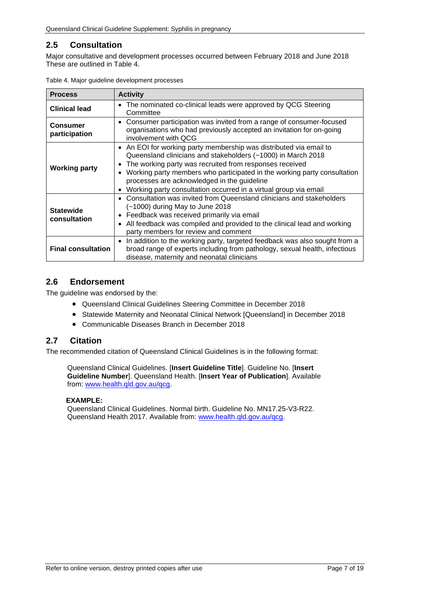# <span id="page-6-0"></span>**2.5 Consultation**

Major consultative and development processes occurred between February 2018 and June 2018 These are outlined in [Table 4.](#page-6-3)

| <b>Process</b>                                                                                                                                                                                                                                                                                                                                       | <b>Activity</b>                                                                                                                                                                                                                                                                                                                                                                              |  |  |
|------------------------------------------------------------------------------------------------------------------------------------------------------------------------------------------------------------------------------------------------------------------------------------------------------------------------------------------------------|----------------------------------------------------------------------------------------------------------------------------------------------------------------------------------------------------------------------------------------------------------------------------------------------------------------------------------------------------------------------------------------------|--|--|
| The nominated co-clinical leads were approved by QCG Steering<br>$\bullet$<br><b>Clinical lead</b><br>Committee                                                                                                                                                                                                                                      |                                                                                                                                                                                                                                                                                                                                                                                              |  |  |
| Consumer participation was invited from a range of consumer-focused<br>$\bullet$<br><b>Consumer</b><br>organisations who had previously accepted an invitation for on-going<br>participation<br>involvement with QCG                                                                                                                                 |                                                                                                                                                                                                                                                                                                                                                                                              |  |  |
| <b>Working party</b>                                                                                                                                                                                                                                                                                                                                 | • An EOI for working party membership was distributed via email to<br>Queensland clinicians and stakeholders (~1000) in March 2018<br>The working party was recruited from responses received<br>Working party members who participated in the working party consultation<br>processes are acknowledged in the guideline<br>Working party consultation occurred in a virtual group via email |  |  |
| Consultation was invited from Queensland clinicians and stakeholders<br>$\bullet$<br>$(-1000)$ during May to June 2018<br><b>Statewide</b><br>Feedback was received primarily via email<br>$\bullet$<br>consultation<br>All feedback was compiled and provided to the clinical lead and working<br>$\bullet$<br>party members for review and comment |                                                                                                                                                                                                                                                                                                                                                                                              |  |  |
| <b>Final consultation</b>                                                                                                                                                                                                                                                                                                                            | In addition to the working party, targeted feedback was also sought from a<br>$\bullet$<br>broad range of experts including from pathology, sexual health, infectious<br>disease, maternity and neonatal clinicians                                                                                                                                                                          |  |  |

<span id="page-6-3"></span>

| Table 4. Major guideline development processes |  |  |  |
|------------------------------------------------|--|--|--|
|------------------------------------------------|--|--|--|

## <span id="page-6-1"></span>**2.6 Endorsement**

The guideline was endorsed by the:

- Queensland Clinical Guidelines Steering Committee in December 2018
- Statewide Maternity and Neonatal Clinical Network [Queensland] in December 2018
- Communicable Diseases Branch in December 2018

### <span id="page-6-2"></span>**2.7 Citation**

The recommended citation of Queensland Clinical Guidelines is in the following format:

Queensland Clinical Guidelines. [**Insert Guideline Title**]. Guideline No. [**Insert Guideline Number**]. Queensland Health. [**Insert Year of Publication**]. Available from: [www.health.qld.gov.au/qcg.](http://www.health.qld.gov.au/qcg)

#### **EXAMPLE:**

Queensland Clinical Guidelines. Normal birth. Guideline No. MN17.25-V3-R22. Queensland Health 2017. Available from: [www.health.qld.gov.au/qcg.](http://www.health.qld.gov.au/qcg)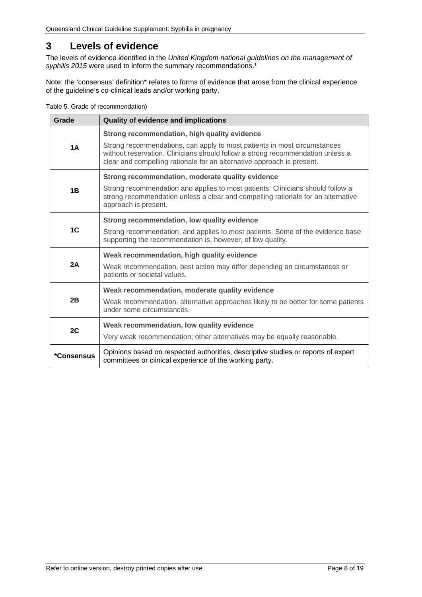# <span id="page-7-0"></span>**3 Levels of evidence**

The levels of evidence identified in the *United Kingdom national guidelines on the management of syphilis 2015* were used to inform the summary recommendations. 1

Note: the 'consensus' definition\* relates to forms of evidence that arose from the clinical experience of the guideline's co-clinical leads and/or working party.

<span id="page-7-1"></span>

|  |  |  | Table 5. Grade of recommendation) |
|--|--|--|-----------------------------------|
|--|--|--|-----------------------------------|

| Grade          | Quality of evidence and implications                                                                                                                                                                                                                                                 |  |  |
|----------------|--------------------------------------------------------------------------------------------------------------------------------------------------------------------------------------------------------------------------------------------------------------------------------------|--|--|
| 1A             | Strong recommendation, high quality evidence<br>Strong recommendations, can apply to most patients in most circumstances<br>without reservation. Clinicians should follow a strong recommendation unless a<br>clear and compelling rationale for an alternative approach is present. |  |  |
| 1B             | Strong recommendation, moderate quality evidence<br>Strong recommendation and applies to most patients. Clinicians should follow a<br>strong recommendation unless a clear and compelling rationale for an alternative<br>approach is present.                                       |  |  |
| 1 <sup>C</sup> | Strong recommendation, low quality evidence<br>Strong recommendation, and applies to most patients. Some of the evidence base<br>supporting the recommendation is, however, of low quality.                                                                                          |  |  |
| 2A             | Weak recommendation, high quality evidence<br>Weak recommendation, best action may differ depending on circumstances or<br>patients or societal values.                                                                                                                              |  |  |
| 2B             | Weak recommendation, moderate quality evidence<br>Weak recommendation, alternative approaches likely to be better for some patients<br>under some circumstances.                                                                                                                     |  |  |
| 2C             | Weak recommendation, low quality evidence<br>Very weak recommendation; other alternatives may be equally reasonable.                                                                                                                                                                 |  |  |
| *Consensus     | Opinions based on respected authorities, descriptive studies or reports of expert<br>committees or clinical experience of the working party.                                                                                                                                         |  |  |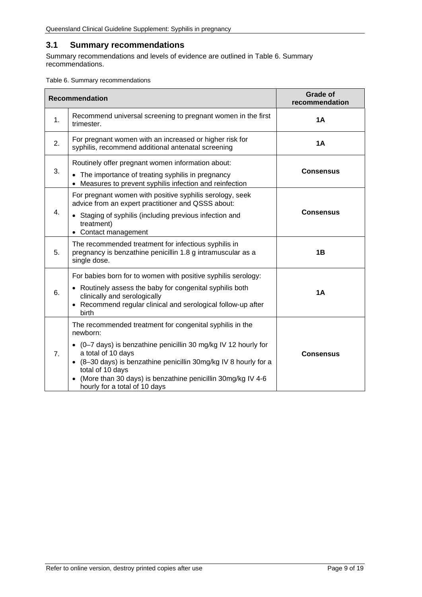# <span id="page-8-0"></span>**3.1 Summary recommendations**

Summary recommendations and levels of evidence are outlined in [Table 6. Summary](#page-8-1)  [recommendations.](#page-8-1)

<span id="page-8-1"></span>Table 6. Summary recommendations

|                  | <b>Recommendation</b>                                                                                                                                                                                                                                                                                                                                 | <b>Grade of</b><br>recommendation |
|------------------|-------------------------------------------------------------------------------------------------------------------------------------------------------------------------------------------------------------------------------------------------------------------------------------------------------------------------------------------------------|-----------------------------------|
| 1.               | Recommend universal screening to pregnant women in the first<br>trimester.                                                                                                                                                                                                                                                                            | <b>1A</b>                         |
| 2.               | For pregnant women with an increased or higher risk for<br>syphilis, recommend additional antenatal screening                                                                                                                                                                                                                                         | <b>1A</b>                         |
| 3.               | Routinely offer pregnant women information about:<br>• The importance of treating syphilis in pregnancy<br>• Measures to prevent syphilis infection and reinfection                                                                                                                                                                                   | <b>Consensus</b>                  |
| $\overline{4}$ . | For pregnant women with positive syphilis serology, seek<br>advice from an expert practitioner and QSSS about:<br>• Staging of syphilis (including previous infection and<br>treatment)<br>• Contact management                                                                                                                                       | <b>Consensus</b>                  |
| 5.               | The recommended treatment for infectious syphilis in<br>pregnancy is benzathine penicillin 1.8 g intramuscular as a<br>single dose.                                                                                                                                                                                                                   | 1B                                |
| 6.               | For babies born for to women with positive syphilis serology:<br>• Routinely assess the baby for congenital syphilis both<br>clinically and serologically<br>• Recommend regular clinical and serological follow-up after<br>birth                                                                                                                    | <b>1A</b>                         |
| 7 <sub>1</sub>   | The recommended treatment for congenital syphilis in the<br>newborn:<br>• (0-7 days) is benzathine penicillin 30 mg/kg IV 12 hourly for<br>a total of 10 days<br>• (8-30 days) is benzathine penicillin 30mg/kg IV 8 hourly for a<br>total of 10 days<br>(More than 30 days) is benzathine penicillin 30mg/kg IV 4-6<br>hourly for a total of 10 days | <b>Consensus</b>                  |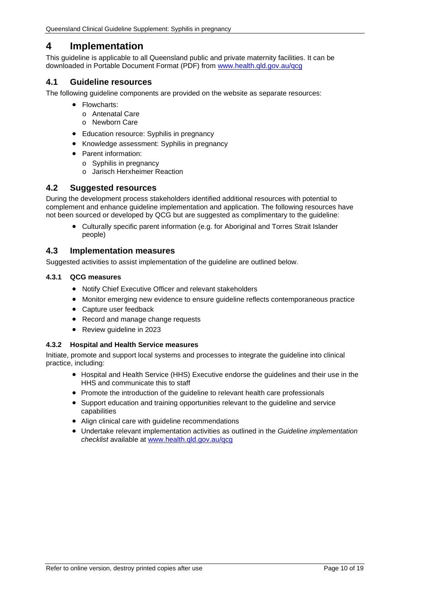# <span id="page-9-0"></span>**4 Implementation**

This guideline is applicable to all Queensland public and private maternity facilities. It can be downloaded in Portable Document Format (PDF) from [www.health.qld.gov.au/qcg](http://www.health.qld.gov.au/qcg)

## <span id="page-9-1"></span>**4.1 Guideline resources**

The following guideline components are provided on the website as separate resources:

- Flowcharts:
	- o Antenatal Care
	- o Newborn Care
- Education resource: Syphilis in pregnancy
- Knowledge assessment: Syphilis in pregnancy
- Parent information:
	- o Syphilis in pregnancy
	- o Jarisch Herxheimer Reaction

## <span id="page-9-2"></span>**4.2 Suggested resources**

During the development process stakeholders identified additional resources with potential to complement and enhance guideline implementation and application. The following resources have not been sourced or developed by QCG but are suggested as complimentary to the guideline:

• Culturally specific parent information (e.g. for Aboriginal and Torres Strait Islander people)

#### <span id="page-9-3"></span>**4.3 Implementation measures**

Suggested activities to assist implementation of the guideline are outlined below.

#### <span id="page-9-4"></span>**4.3.1 QCG measures**

- Notify Chief Executive Officer and relevant stakeholders
- Monitor emerging new evidence to ensure guideline reflects contemporaneous practice
- Capture user feedback
- Record and manage change requests
- Review guideline in 2023

#### <span id="page-9-5"></span>**4.3.2 Hospital and Health Service measures**

Initiate, promote and support local systems and processes to integrate the guideline into clinical practice, including:

- Hospital and Health Service (HHS) Executive endorse the guidelines and their use in the HHS and communicate this to staff
- Promote the introduction of the guideline to relevant health care professionals
- Support education and training opportunities relevant to the guideline and service capabilities
- Align clinical care with guideline recommendations
- Undertake relevant implementation activities as outlined in the *Guideline implementation checklist* available at [www.health.qld.gov.au/qcg](http://www.health.qld.gov.au/qcg)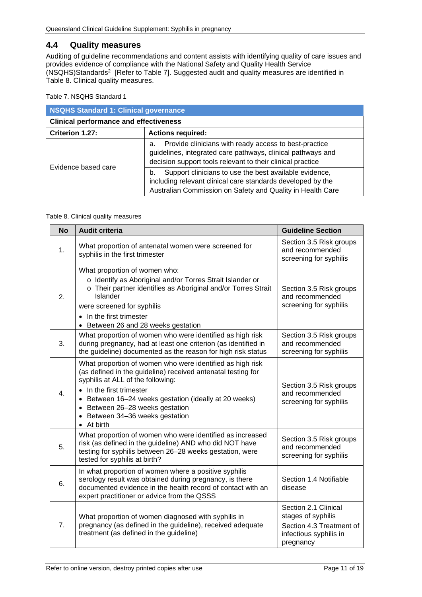## <span id="page-10-0"></span>**4.4 Quality measures**

Auditing of guideline recommendations and content assists with identifying quality of care issues and provides evidence of compliance with the National Safety and Quality Health Service (NSQHS)Standards2 [Refer to [Table 7\]](#page-10-1). Suggested audit and quality measures are identified in [Table 8. Clinical quality measures.](#page-10-2)

<span id="page-10-1"></span>Table 7. NSQHS Standard 1

| <b>NSQHS Standard 1: Clinical governance</b>  |                                                                                                                                                                                           |  |
|-----------------------------------------------|-------------------------------------------------------------------------------------------------------------------------------------------------------------------------------------------|--|
| <b>Clinical performance and effectiveness</b> |                                                                                                                                                                                           |  |
| Criterion 1.27:                               | <b>Actions required:</b>                                                                                                                                                                  |  |
| Evidence based care                           | Provide clinicians with ready access to best-practice<br>a.<br>guidelines, integrated care pathways, clinical pathways and<br>decision support tools relevant to their clinical practice  |  |
|                                               | Support clinicians to use the best available evidence,<br>b.<br>including relevant clinical care standards developed by the<br>Australian Commission on Safety and Quality in Health Care |  |

#### <span id="page-10-2"></span>Table 8. Clinical quality measures

| <b>No</b> | Audit criteria                                                                                                                                                                                                                                                                                                                                                | <b>Guideline Section</b>                                                                                      |
|-----------|---------------------------------------------------------------------------------------------------------------------------------------------------------------------------------------------------------------------------------------------------------------------------------------------------------------------------------------------------------------|---------------------------------------------------------------------------------------------------------------|
| 1.        | What proportion of antenatal women were screened for<br>syphilis in the first trimester                                                                                                                                                                                                                                                                       | Section 3.5 Risk groups<br>and recommended<br>screening for syphilis                                          |
| 2.        | What proportion of women who:<br>o Identify as Aboriginal and/or Torres Strait Islander or<br>o Their partner identifies as Aboriginal and/or Torres Strait<br>Islander<br>were screened for syphilis<br>• In the first trimester<br>• Between 26 and 28 weeks gestation                                                                                      | Section 3.5 Risk groups<br>and recommended<br>screening for syphilis                                          |
| 3.        | What proportion of women who were identified as high risk<br>during pregnancy, had at least one criterion (as identified in<br>the guideline) documented as the reason for high risk status                                                                                                                                                                   | Section 3.5 Risk groups<br>and recommended<br>screening for syphilis                                          |
| 4.        | What proportion of women who were identified as high risk<br>(as defined in the guideline) received antenatal testing for<br>syphilis at ALL of the following:<br>• In the first trimester<br>Between 16-24 weeks gestation (ideally at 20 weeks)<br>$\bullet$<br>• Between 26-28 weeks gestation<br>Between 34-36 weeks gestation<br>$\bullet$<br>• At birth | Section 3.5 Risk groups<br>and recommended<br>screening for syphilis                                          |
| 5.        | What proportion of women who were identified as increased<br>risk (as defined in the guideline) AND who did NOT have<br>testing for syphilis between 26-28 weeks gestation, were<br>tested for syphilis at birth?                                                                                                                                             | Section 3.5 Risk groups<br>and recommended<br>screening for syphilis                                          |
| 6.        | In what proportion of women where a positive syphilis<br>serology result was obtained during pregnancy, is there<br>documented evidence in the health record of contact with an<br>expert practitioner or advice from the QSSS                                                                                                                                | Section 1.4 Notifiable<br>disease                                                                             |
| 7.        | What proportion of women diagnosed with syphilis in<br>pregnancy (as defined in the guideline), received adequate<br>treatment (as defined in the guideline)                                                                                                                                                                                                  | Section 2.1 Clinical<br>stages of syphilis<br>Section 4.3 Treatment of<br>infectious syphilis in<br>pregnancy |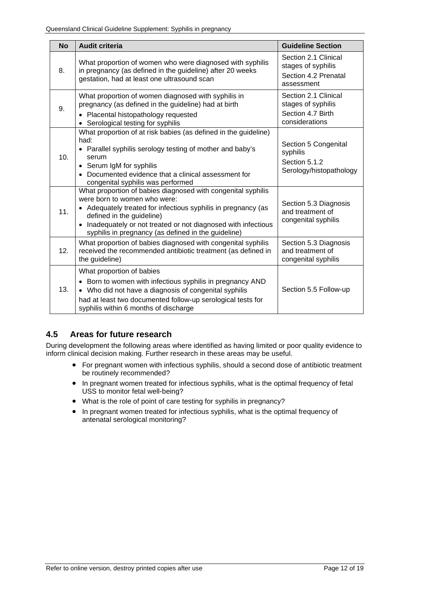| <b>No</b> | <b>Audit criteria</b>                                                                                                                                                                                                                                                                                               | <b>Guideline Section</b>                                                          |
|-----------|---------------------------------------------------------------------------------------------------------------------------------------------------------------------------------------------------------------------------------------------------------------------------------------------------------------------|-----------------------------------------------------------------------------------|
| 8.        | What proportion of women who were diagnosed with syphilis<br>in pregnancy (as defined in the guideline) after 20 weeks<br>gestation, had at least one ultrasound scan                                                                                                                                               | Section 2.1 Clinical<br>stages of syphilis<br>Section 4.2 Prenatal<br>assessment  |
| 9.        | What proportion of women diagnosed with syphilis in<br>pregnancy (as defined in the guideline) had at birth<br>• Placental histopathology requested<br>• Serological testing for syphilis                                                                                                                           | Section 2.1 Clinical<br>stages of syphilis<br>Section 4.7 Birth<br>considerations |
| 10.       | What proportion of at risk babies (as defined in the guideline)<br>had:<br>• Parallel syphilis serology testing of mother and baby's<br>serum<br>• Serum IgM for syphilis<br>• Documented evidence that a clinical assessment for<br>congenital syphilis was performed                                              | Section 5 Congenital<br>syphilis<br>Section 5.1.2<br>Serology/histopathology      |
| 11.       | What proportion of babies diagnosed with congenital syphilis<br>were born to women who were:<br>• Adequately treated for infectious syphilis in pregnancy (as<br>defined in the guideline)<br>• Inadequately or not treated or not diagnosed with infectious<br>syphilis in pregnancy (as defined in the guideline) | Section 5.3 Diagnosis<br>and treatment of<br>congenital syphilis                  |
| 12.       | What proportion of babies diagnosed with congenital syphilis<br>received the recommended antibiotic treatment (as defined in<br>the guideline)                                                                                                                                                                      | Section 5.3 Diagnosis<br>and treatment of<br>congenital syphilis                  |
| 13.       | What proportion of babies<br>• Born to women with infectious syphilis in pregnancy AND<br>• Who did not have a diagnosis of congenital syphilis<br>had at least two documented follow-up serological tests for<br>syphilis within 6 months of discharge                                                             | Section 5.5 Follow-up                                                             |

# <span id="page-11-0"></span>**4.5 Areas for future research**

During development the following areas where identified as having limited or poor quality evidence to inform clinical decision making. Further research in these areas may be useful.

- For pregnant women with infectious syphilis, should a second dose of antibiotic treatment be routinely recommended?
- In pregnant women treated for infectious syphilis, what is the optimal frequency of fetal USS to monitor fetal well-being?
- What is the role of point of care testing for syphilis in pregnancy?
- In pregnant women treated for infectious syphilis, what is the optimal frequency of antenatal serological monitoring?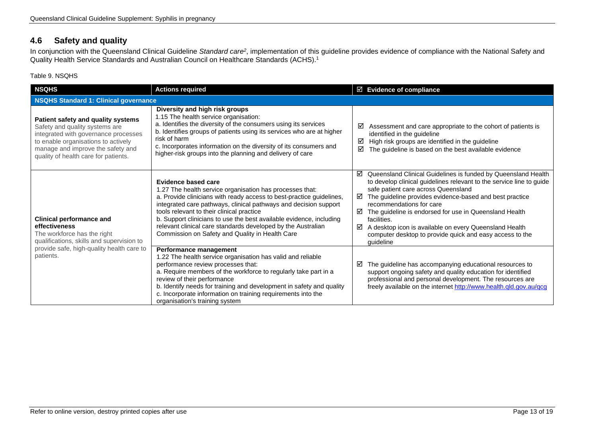# **4.6 Safety and quality**

In conjunction with the Queensland Clinical Guideline *Standard care2*, implementation of this guideline provides evidence of compliance with the National Safety and Quality Health Service Standards and Australian Council on Healthcare Standards (ACHS).1

#### Table 9. NSQHS

<span id="page-12-1"></span><span id="page-12-0"></span>

| <b>NSQHS</b>                                                                                                                                                                                                                     | <b>Actions required</b>                                                                                                                                                                                                                                                                                                                                                                                                                                            | $\boxtimes$ Evidence of compliance                                                                                                                                                                                                                                                                                                                                                                                                                                                               |  |
|----------------------------------------------------------------------------------------------------------------------------------------------------------------------------------------------------------------------------------|--------------------------------------------------------------------------------------------------------------------------------------------------------------------------------------------------------------------------------------------------------------------------------------------------------------------------------------------------------------------------------------------------------------------------------------------------------------------|--------------------------------------------------------------------------------------------------------------------------------------------------------------------------------------------------------------------------------------------------------------------------------------------------------------------------------------------------------------------------------------------------------------------------------------------------------------------------------------------------|--|
| <b>NSQHS Standard 1: Clinical governance</b>                                                                                                                                                                                     |                                                                                                                                                                                                                                                                                                                                                                                                                                                                    |                                                                                                                                                                                                                                                                                                                                                                                                                                                                                                  |  |
| Patient safety and quality systems<br>Safety and quality systems are<br>integrated with governance processes<br>to enable organisations to actively<br>manage and improve the safety and<br>quality of health care for patients. | Diversity and high risk groups<br>1.15 The health service organisation:<br>a. Identifies the diversity of the consumers using its services<br>b. Identifies groups of patients using its services who are at higher<br>risk of harm<br>c. Incorporates information on the diversity of its consumers and<br>higher-risk groups into the planning and delivery of care                                                                                              | Assessment and care appropriate to the cohort of patients is<br>☑<br>identified in the guideline<br>High risk groups are identified in the guideline<br>☑<br>☑<br>The guideline is based on the best available evidence                                                                                                                                                                                                                                                                          |  |
| <b>Clinical performance and</b><br>effectiveness<br>The workforce has the right<br>qualifications, skills and supervision to<br>provide safe, high-quality health care to<br>patients.                                           | Evidence based care<br>1.27 The health service organisation has processes that:<br>a. Provide clinicians with ready access to best-practice guidelines,<br>integrated care pathways, clinical pathways and decision support<br>tools relevant to their clinical practice<br>b. Support clinicians to use the best available evidence, including<br>relevant clinical care standards developed by the Australian<br>Commission on Safety and Quality in Health Care | ☑ Queensland Clinical Guidelines is funded by Queensland Health<br>to develop clinical guidelines relevant to the service line to guide<br>safe patient care across Queensland<br>The guideline provides evidence-based and best practice<br>☑<br>recommendations for care<br>☑<br>The guideline is endorsed for use in Queensland Health<br>facilities.<br>A desktop icon is available on every Queensland Health<br>☑<br>computer desktop to provide quick and easy access to the<br>quideline |  |
|                                                                                                                                                                                                                                  | Performance management<br>1.22 The health service organisation has valid and reliable<br>performance review processes that:<br>a. Require members of the workforce to regularly take part in a<br>review of their performance<br>b. Identify needs for training and development in safety and quality<br>c. Incorporate information on training requirements into the<br>organisation's training system                                                            | The guideline has accompanying educational resources to<br>☑<br>support ongoing safety and quality education for identified<br>professional and personal development. The resources are<br>freely available on the internet http://www.health.qld.gov.au/qcg                                                                                                                                                                                                                                     |  |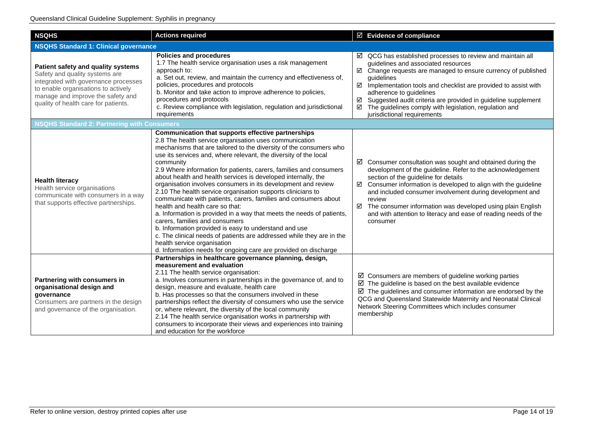| <b>NSQHS</b>                                                                                                                                                                                                                     | <b>Actions required</b>                                                                                                                                                                                                                                                                                                                                                                                                                                                                                                                                                                                                                                                                                                                                                                                                                                                                                                                                                                         | ☑ Evidence of compliance                                                                                                                                                                                                                                                                                                                                                                                                                                                               |  |  |
|----------------------------------------------------------------------------------------------------------------------------------------------------------------------------------------------------------------------------------|-------------------------------------------------------------------------------------------------------------------------------------------------------------------------------------------------------------------------------------------------------------------------------------------------------------------------------------------------------------------------------------------------------------------------------------------------------------------------------------------------------------------------------------------------------------------------------------------------------------------------------------------------------------------------------------------------------------------------------------------------------------------------------------------------------------------------------------------------------------------------------------------------------------------------------------------------------------------------------------------------|----------------------------------------------------------------------------------------------------------------------------------------------------------------------------------------------------------------------------------------------------------------------------------------------------------------------------------------------------------------------------------------------------------------------------------------------------------------------------------------|--|--|
|                                                                                                                                                                                                                                  | <b>NSQHS Standard 1: Clinical governance</b>                                                                                                                                                                                                                                                                                                                                                                                                                                                                                                                                                                                                                                                                                                                                                                                                                                                                                                                                                    |                                                                                                                                                                                                                                                                                                                                                                                                                                                                                        |  |  |
| Patient safety and quality systems<br>Safety and quality systems are<br>integrated with governance processes<br>to enable organisations to actively<br>manage and improve the safety and<br>quality of health care for patients. | <b>Policies and procedures</b><br>1.7 The health service organisation uses a risk management<br>approach to:<br>a. Set out, review, and maintain the currency and effectiveness of,<br>policies, procedures and protocols<br>b. Monitor and take action to improve adherence to policies,<br>procedures and protocols<br>c. Review compliance with legislation, regulation and jurisdictional<br>requirements                                                                                                                                                                                                                                                                                                                                                                                                                                                                                                                                                                                   | $\boxtimes$ QCG has established processes to review and maintain all<br>guidelines and associated resources<br>☑ Change requests are managed to ensure currency of published<br>guidelines<br>$\boxtimes$ Implementation tools and checklist are provided to assist with<br>adherence to guidelines<br>Suggested audit criteria are provided in guideline supplement<br>☑<br>The guidelines comply with legislation, regulation and<br>☑<br>jurisdictional requirements                |  |  |
| <b>NSQHS Standard 2: Partnering with Consumers</b>                                                                                                                                                                               |                                                                                                                                                                                                                                                                                                                                                                                                                                                                                                                                                                                                                                                                                                                                                                                                                                                                                                                                                                                                 |                                                                                                                                                                                                                                                                                                                                                                                                                                                                                        |  |  |
| <b>Health literacy</b><br>Health service organisations<br>communicate with consumers in a way<br>that supports effective partnerships.                                                                                           | Communication that supports effective partnerships<br>2.8 The health service organisation uses communication<br>mechanisms that are tailored to the diversity of the consumers who<br>use its services and, where relevant, the diversity of the local<br>community<br>2.9 Where information for patients, carers, families and consumers<br>about health and health services is developed internally, the<br>organisation involves consumers in its development and review<br>2.10 The health service organisation supports clinicians to<br>communicate with patients, carers, families and consumers about<br>health and health care so that:<br>a. Information is provided in a way that meets the needs of patients,<br>carers, families and consumers<br>b. Information provided is easy to understand and use<br>c. The clinical needs of patients are addressed while they are in the<br>health service organisation<br>d. Information needs for ongoing care are provided on discharge | $\boxtimes$ Consumer consultation was sought and obtained during the<br>development of the guideline. Refer to the acknowledgement<br>section of the guideline for details<br>$\boxtimes$ Consumer information is developed to align with the guideline<br>and included consumer involvement during development and<br>review<br>$\boxtimes$ The consumer information was developed using plain English<br>and with attention to literacy and ease of reading needs of the<br>consumer |  |  |
| Partnering with consumers in<br>organisational design and<br>governance<br>Consumers are partners in the design<br>and governance of the organisation.                                                                           | Partnerships in healthcare governance planning, design,<br>measurement and evaluation<br>2.11 The health service organisation:<br>a. Involves consumers in partnerships in the governance of, and to<br>design, measure and evaluate, health care<br>b. Has processes so that the consumers involved in these<br>partnerships reflect the diversity of consumers who use the service<br>or, where relevant, the diversity of the local community<br>2.14 The health service organisation works in partnership with<br>consumers to incorporate their views and experiences into training<br>and education for the workforce                                                                                                                                                                                                                                                                                                                                                                     | $\boxtimes$ Consumers are members of guideline working parties<br>$\boxtimes$ The guideline is based on the best available evidence<br>$\boxtimes$ The guidelines and consumer information are endorsed by the<br>QCG and Queensland Statewide Maternity and Neonatal Clinical<br>Network Steering Committees which includes consumer<br>membership                                                                                                                                    |  |  |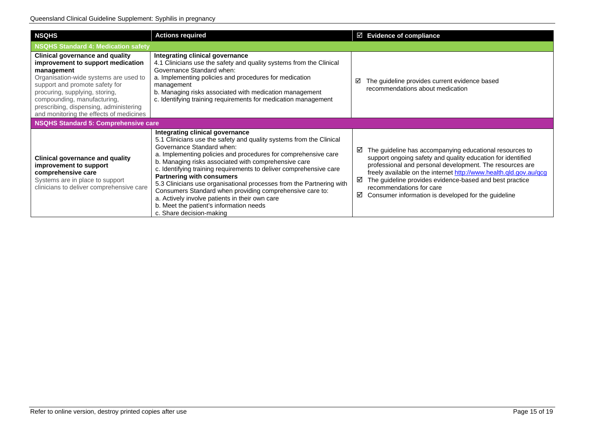| <b>NSQHS</b>                                                                                                                                                                                                                                                                                                               | <b>Actions required</b>                                                                                                                                                                                                                                                                                                                                                                                                                                                                                                                                                                                                              | $\boxtimes$ Evidence of compliance                                                                                                                                                                                                                                                                                                                                                                                   |
|----------------------------------------------------------------------------------------------------------------------------------------------------------------------------------------------------------------------------------------------------------------------------------------------------------------------------|--------------------------------------------------------------------------------------------------------------------------------------------------------------------------------------------------------------------------------------------------------------------------------------------------------------------------------------------------------------------------------------------------------------------------------------------------------------------------------------------------------------------------------------------------------------------------------------------------------------------------------------|----------------------------------------------------------------------------------------------------------------------------------------------------------------------------------------------------------------------------------------------------------------------------------------------------------------------------------------------------------------------------------------------------------------------|
| NSQHS Standard 4: Medication safety                                                                                                                                                                                                                                                                                        |                                                                                                                                                                                                                                                                                                                                                                                                                                                                                                                                                                                                                                      |                                                                                                                                                                                                                                                                                                                                                                                                                      |
| <b>Clinical governance and quality</b><br>improvement to support medication<br>management<br>Organisation-wide systems are used to<br>support and promote safety for<br>procuring, supplying, storing,<br>compounding, manufacturing,<br>prescribing, dispensing, administering<br>and monitoring the effects of medicines | Integrating clinical governance<br>4.1 Clinicians use the safety and quality systems from the Clinical<br>Governance Standard when:<br>a. Implementing policies and procedures for medication<br>management<br>b. Managing risks associated with medication management<br>c. Identifying training requirements for medication management                                                                                                                                                                                                                                                                                             | The guideline provides current evidence based<br>☑<br>recommendations about medication                                                                                                                                                                                                                                                                                                                               |
| NSQHS Standard 5: Comprehensive care                                                                                                                                                                                                                                                                                       |                                                                                                                                                                                                                                                                                                                                                                                                                                                                                                                                                                                                                                      |                                                                                                                                                                                                                                                                                                                                                                                                                      |
| <b>Clinical governance and quality</b><br>improvement to support<br>comprehensive care<br>Systems are in place to support<br>clinicians to deliver comprehensive care                                                                                                                                                      | Integrating clinical governance<br>5.1 Clinicians use the safety and quality systems from the Clinical<br>Governance Standard when:<br>a. Implementing policies and procedures for comprehensive care<br>b. Managing risks associated with comprehensive care<br>c. Identifying training requirements to deliver comprehensive care<br><b>Partnering with consumers</b><br>5.3 Clinicians use organisational processes from the Partnering with<br>Consumers Standard when providing comprehensive care to:<br>a. Actively involve patients in their own care<br>b. Meet the patient's information needs<br>c. Share decision-making | The guideline has accompanying educational resources to<br>☑<br>support ongoing safety and quality education for identified<br>professional and personal development. The resources are<br>freely available on the internet http://www.health.qld.gov.au/qcg<br>The guideline provides evidence-based and best practice<br>☑<br>recommendations for care<br>☑<br>Consumer information is developed for the guideline |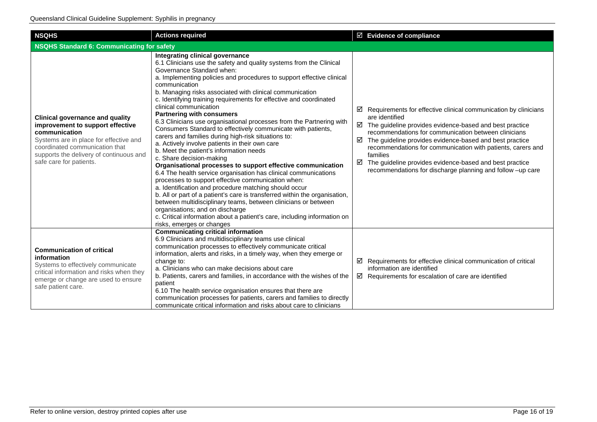| <b>NSQHS</b>                                                                                                                                                                                                                                  | <b>Actions required</b>                                                                                                                                                                                                                                                                                                                                                                                                                                                                                                                                                                                                                                                                                                                                                                                                                                                                                                                                                                                                                                                                                                                                                                                                                                                                            | $\boxtimes$ Evidence of compliance                                                                                                                                                                                                                                                                                                                                                                                                                                                                    |  |
|-----------------------------------------------------------------------------------------------------------------------------------------------------------------------------------------------------------------------------------------------|----------------------------------------------------------------------------------------------------------------------------------------------------------------------------------------------------------------------------------------------------------------------------------------------------------------------------------------------------------------------------------------------------------------------------------------------------------------------------------------------------------------------------------------------------------------------------------------------------------------------------------------------------------------------------------------------------------------------------------------------------------------------------------------------------------------------------------------------------------------------------------------------------------------------------------------------------------------------------------------------------------------------------------------------------------------------------------------------------------------------------------------------------------------------------------------------------------------------------------------------------------------------------------------------------|-------------------------------------------------------------------------------------------------------------------------------------------------------------------------------------------------------------------------------------------------------------------------------------------------------------------------------------------------------------------------------------------------------------------------------------------------------------------------------------------------------|--|
| <b>NSQHS Standard 6: Communicating for safety</b>                                                                                                                                                                                             |                                                                                                                                                                                                                                                                                                                                                                                                                                                                                                                                                                                                                                                                                                                                                                                                                                                                                                                                                                                                                                                                                                                                                                                                                                                                                                    |                                                                                                                                                                                                                                                                                                                                                                                                                                                                                                       |  |
| <b>Clinical governance and quality</b><br>improvement to support effective<br>communication<br>Systems are in place for effective and<br>coordinated communication that<br>supports the delivery of continuous and<br>safe care for patients. | Integrating clinical governance<br>6.1 Clinicians use the safety and quality systems from the Clinical<br>Governance Standard when:<br>a. Implementing policies and procedures to support effective clinical<br>communication<br>b. Managing risks associated with clinical communication<br>c. Identifying training requirements for effective and coordinated<br>clinical communication<br><b>Partnering with consumers</b><br>6.3 Clinicians use organisational processes from the Partnering with<br>Consumers Standard to effectively communicate with patients,<br>carers and families during high-risk situations to:<br>a. Actively involve patients in their own care<br>b. Meet the patient's information needs<br>c. Share decision-making<br>Organisational processes to support effective communication<br>6.4 The health service organisation has clinical communications<br>processes to support effective communication when:<br>a. Identification and procedure matching should occur<br>b. All or part of a patient's care is transferred within the organisation,<br>between multidisciplinary teams, between clinicians or between<br>organisations; and on discharge<br>c. Critical information about a patient's care, including information on<br>risks, emerges or changes | Requirements for effective clinical communication by clinicians<br>☑<br>are identified<br>$\boxtimes$ The guideline provides evidence-based and best practice<br>recommendations for communication between clinicians<br>$\boxtimes$ The guideline provides evidence-based and best practice<br>recommendations for communication with patients, carers and<br>families<br>☑<br>The guideline provides evidence-based and best practice<br>recommendations for discharge planning and follow -up care |  |
| <b>Communication of critical</b><br>information<br>Systems to effectively communicate<br>critical information and risks when they<br>emerge or change are used to ensure<br>safe patient care.                                                | <b>Communicating critical information</b><br>6.9 Clinicians and multidisciplinary teams use clinical<br>communication processes to effectively communicate critical<br>information, alerts and risks, in a timely way, when they emerge or<br>change to:<br>a. Clinicians who can make decisions about care<br>b. Patients, carers and families, in accordance with the wishes of the<br>patient<br>6.10 The health service organisation ensures that there are<br>communication processes for patients, carers and families to directly<br>communicate critical information and risks about care to clinicians                                                                                                                                                                                                                                                                                                                                                                                                                                                                                                                                                                                                                                                                                    | $\boxtimes$ Requirements for effective clinical communication of critical<br>information are identified<br>$\boxtimes$ Requirements for escalation of care are identified                                                                                                                                                                                                                                                                                                                             |  |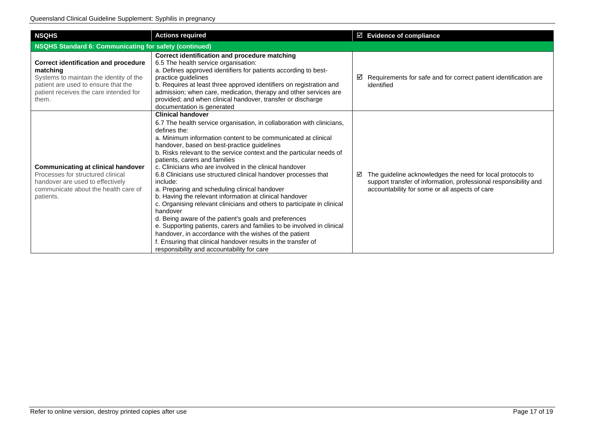| <b>NSQHS</b>                                                                                                                                                                                 | <b>Actions required</b>                                                                                                                                                                                                                                                                                                                                                                                                                                                                                                                                                                                                                                                                                                                                                                                                                                                                                                                                                                             | $\boxtimes$ Evidence of compliance                                                                                                                                                    |  |
|----------------------------------------------------------------------------------------------------------------------------------------------------------------------------------------------|-----------------------------------------------------------------------------------------------------------------------------------------------------------------------------------------------------------------------------------------------------------------------------------------------------------------------------------------------------------------------------------------------------------------------------------------------------------------------------------------------------------------------------------------------------------------------------------------------------------------------------------------------------------------------------------------------------------------------------------------------------------------------------------------------------------------------------------------------------------------------------------------------------------------------------------------------------------------------------------------------------|---------------------------------------------------------------------------------------------------------------------------------------------------------------------------------------|--|
| <b>NSQHS Standard 6: Communicating for safety (continued)</b>                                                                                                                                |                                                                                                                                                                                                                                                                                                                                                                                                                                                                                                                                                                                                                                                                                                                                                                                                                                                                                                                                                                                                     |                                                                                                                                                                                       |  |
| <b>Correct identification and procedure</b><br>matching<br>Systems to maintain the identity of the<br>patient are used to ensure that the<br>patient receives the care intended for<br>them. | Correct identification and procedure matching<br>6.5 The health service organisation:<br>a. Defines approved identifiers for patients according to best-<br>practice quidelines<br>b. Requires at least three approved identifiers on registration and<br>admission; when care, medication, therapy and other services are<br>provided; and when clinical handover, transfer or discharge<br>documentation is generated                                                                                                                                                                                                                                                                                                                                                                                                                                                                                                                                                                             | Requirements for safe and for correct patient identification are<br>⊻<br>identified                                                                                                   |  |
| <b>Communicating at clinical handover</b><br>Processes for structured clinical<br>handover are used to effectively<br>communicate about the health care of<br>patients.                      | <b>Clinical handover</b><br>6.7 The health service organisation, in collaboration with clinicians,<br>defines the:<br>a. Minimum information content to be communicated at clinical<br>handover, based on best-practice guidelines<br>b. Risks relevant to the service context and the particular needs of<br>patients, carers and families<br>c. Clinicians who are involved in the clinical handover<br>6.8 Clinicians use structured clinical handover processes that<br>include:<br>a. Preparing and scheduling clinical handover<br>b. Having the relevant information at clinical handover<br>c. Organising relevant clinicians and others to participate in clinical<br>handover<br>d. Being aware of the patient's goals and preferences<br>e. Supporting patients, carers and families to be involved in clinical<br>handover, in accordance with the wishes of the patient<br>f. Ensuring that clinical handover results in the transfer of<br>responsibility and accountability for care | The guideline acknowledges the need for local protocols to<br>☑<br>support transfer of information, professional responsibility and<br>accountability for some or all aspects of care |  |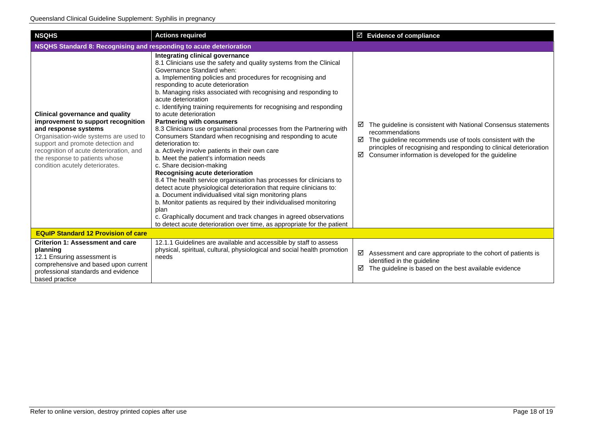| <b>NSQHS</b>                                                                                                                                                                                                                                                                                       | <b>Actions required</b>                                                                                                                                                                                                                                                                                                                                                                                                                                                                                                                                                                                                                                                                                                                                                                                                                                                                                                                                                                                                                                                                                                                                                                                                              | $\boxtimes$ Evidence of compliance                                                                                                                                                                                                                                                                |  |
|----------------------------------------------------------------------------------------------------------------------------------------------------------------------------------------------------------------------------------------------------------------------------------------------------|--------------------------------------------------------------------------------------------------------------------------------------------------------------------------------------------------------------------------------------------------------------------------------------------------------------------------------------------------------------------------------------------------------------------------------------------------------------------------------------------------------------------------------------------------------------------------------------------------------------------------------------------------------------------------------------------------------------------------------------------------------------------------------------------------------------------------------------------------------------------------------------------------------------------------------------------------------------------------------------------------------------------------------------------------------------------------------------------------------------------------------------------------------------------------------------------------------------------------------------|---------------------------------------------------------------------------------------------------------------------------------------------------------------------------------------------------------------------------------------------------------------------------------------------------|--|
| NSQHS Standard 8: Recognising and responding to acute deterioration                                                                                                                                                                                                                                |                                                                                                                                                                                                                                                                                                                                                                                                                                                                                                                                                                                                                                                                                                                                                                                                                                                                                                                                                                                                                                                                                                                                                                                                                                      |                                                                                                                                                                                                                                                                                                   |  |
| <b>Clinical governance and quality</b><br>improvement to support recognition<br>and response systems<br>Organisation-wide systems are used to<br>support and promote detection and<br>recognition of acute deterioration, and<br>the response to patients whose<br>condition acutely deteriorates. | Integrating clinical governance<br>8.1 Clinicians use the safety and quality systems from the Clinical<br>Governance Standard when:<br>a. Implementing policies and procedures for recognising and<br>responding to acute deterioration<br>b. Managing risks associated with recognising and responding to<br>acute deterioration<br>c. Identifying training requirements for recognising and responding<br>to acute deterioration<br><b>Partnering with consumers</b><br>8.3 Clinicians use organisational processes from the Partnering with<br>Consumers Standard when recognising and responding to acute<br>deterioration to:<br>a. Actively involve patients in their own care<br>b. Meet the patient's information needs<br>c. Share decision-making<br>Recognising acute deterioration<br>8.4 The health service organisation has processes for clinicians to<br>detect acute physiological deterioration that require clinicians to:<br>a. Document individualised vital sign monitoring plans<br>b. Monitor patients as required by their individualised monitoring<br>plan<br>c. Graphically document and track changes in agreed observations<br>to detect acute deterioration over time, as appropriate for the patient | The guideline is consistent with National Consensus statements<br>☑<br>recommendations<br>$\boxtimes$ The guideline recommends use of tools consistent with the<br>principles of recognising and responding to clinical deterioration<br>Consumer information is developed for the guideline<br>☑ |  |
| <b>EQuIP Standard 12 Provision of care</b>                                                                                                                                                                                                                                                         |                                                                                                                                                                                                                                                                                                                                                                                                                                                                                                                                                                                                                                                                                                                                                                                                                                                                                                                                                                                                                                                                                                                                                                                                                                      |                                                                                                                                                                                                                                                                                                   |  |
| <b>Criterion 1: Assessment and care</b><br>planning<br>12.1 Ensuring assessment is<br>comprehensive and based upon current<br>professional standards and evidence<br>based practice                                                                                                                | 12.1.1 Guidelines are available and accessible by staff to assess<br>physical, spiritual, cultural, physiological and social health promotion<br>needs                                                                                                                                                                                                                                                                                                                                                                                                                                                                                                                                                                                                                                                                                                                                                                                                                                                                                                                                                                                                                                                                               | ☑<br>Assessment and care appropriate to the cohort of patients is<br>identified in the guideline<br>The guideline is based on the best available evidence<br>☑                                                                                                                                    |  |